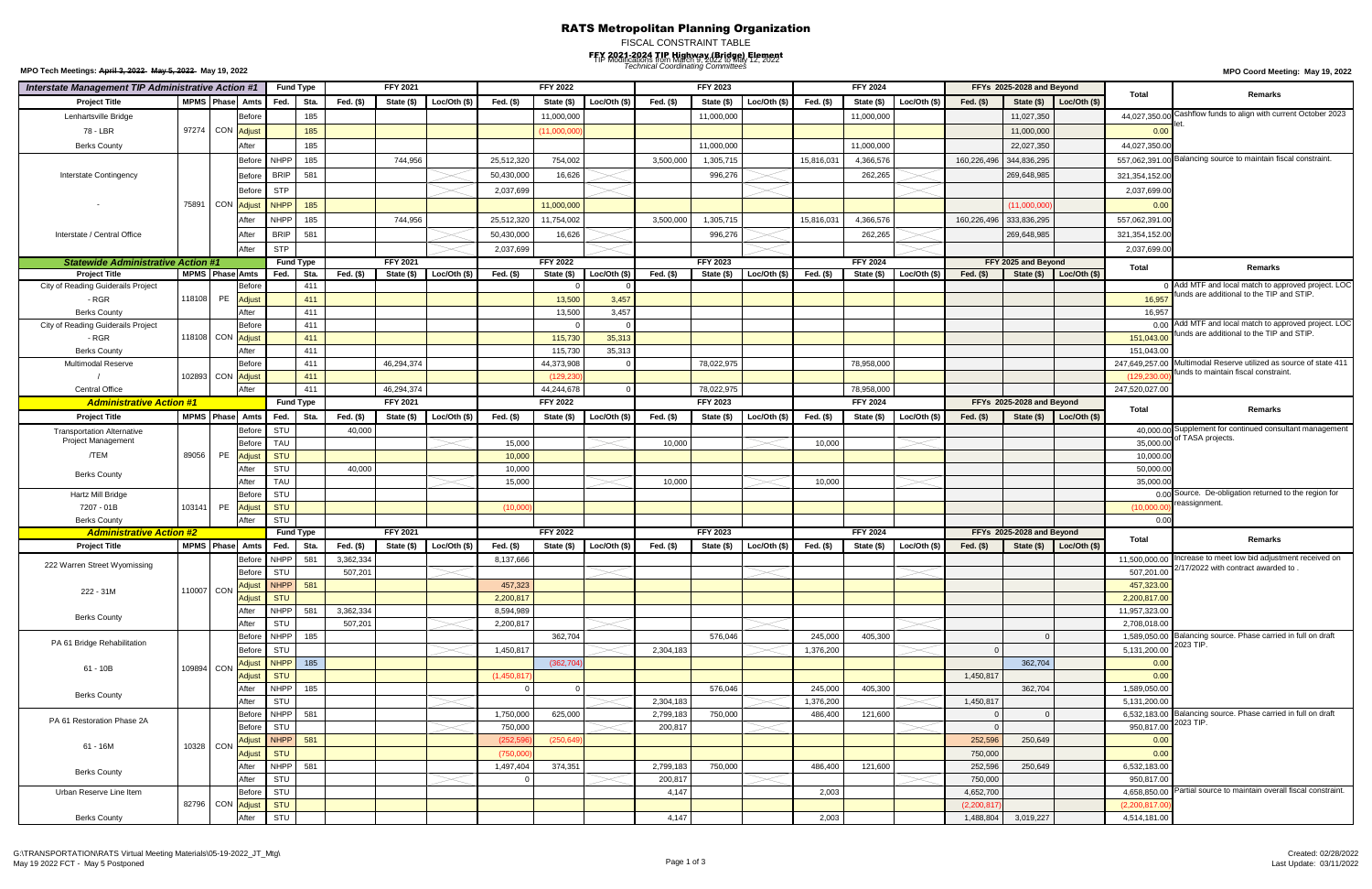## RATS Metropolitan Planning Organization

FISCAL CONSTRAINT TABLE

### FFY 2021-2024 TIP Highway (Bridge) Element *Technical Coordinating Committees* **MPO Coord Meeting: May 19, 2022** TIP Modifications from March 9, 2022 to May 12, 2022

|                                                                | Interstate Management TIP Administrative Action #1 |                             | <b>Fund Type</b> |                  |           |                 | <b>FFY 2021</b> |             | <b>FFY 2022</b>          |              |                  | <b>FFY 2023</b> |              |            | <b>FFY 2024</b> |              |                    | FFYs 2025-2028 and Beyond |                      |                               | Remarks                                                                                       |
|----------------------------------------------------------------|----------------------------------------------------|-----------------------------|------------------|------------------|-----------|-----------------|-----------------|-------------|--------------------------|--------------|------------------|-----------------|--------------|------------|-----------------|--------------|--------------------|---------------------------|----------------------|-------------------------------|-----------------------------------------------------------------------------------------------|
| <b>Project Title</b>                                           | <b>MPMS</b> Phase                                  | Amts                        | Fed.             | Sta.             | Fed. (\$) | State (\$)      | Loc/Oth (\$)    | Fed. (\$)   | State (\$)               | Loc/Oth (\$) | Fed. (\$)        | State (\$)      | Loc/Oth (\$) | Fed. (\$)  | State (\$)      | Loc/Oth (\$) | Fed. $($ \$)       | State (\$)                | Loc/Oh (\$)          | Total                         |                                                                                               |
| Lenhartsville Bridge                                           |                                                    | <b>Before</b>               |                  | 185              |           |                 |                 |             | 11,000,000               |              |                  | 11,000,000      |              |            | 11,000,000      |              |                    | 11,027,350                |                      | 44,027,350.0                  | ashflow funds to align with current October 2023                                              |
| 78 - LBR                                                       |                                                    | 97274 CON Adjust            |                  | 185              |           |                 |                 |             | (11,000,000)             |              |                  |                 |              |            |                 |              |                    | 11,000,000                |                      | 0.00                          |                                                                                               |
| <b>Berks County</b>                                            |                                                    | After                       |                  | 185              |           |                 |                 |             |                          |              |                  | 11,000,000      |              |            | 11,000,000      |              |                    | 22,027,350                |                      | 44,027,350.0                  |                                                                                               |
|                                                                |                                                    | Before                      | <b>NHPP</b>      | 185              |           | 744,956         |                 | 25,512,320  | 754,002                  |              | 3,500,000        | 1,305,715       |              | 15,816,031 | 4,366,576       |              | 160,226,496        | 344,836,295               |                      | 557,062,391.0                 | Balancing source to maintain fiscal constraint.                                               |
| Interstate Contingency                                         |                                                    | Before                      | <b>BRIP</b>      | 581              |           |                 |                 | 50,430,000  | 16,626                   |              |                  | 996,276         |              |            | 262,265         |              |                    | 269,648,985               |                      | 321, 354, 152.0               |                                                                                               |
|                                                                |                                                    |                             | <b>STP</b>       |                  |           |                 |                 |             |                          |              |                  |                 |              |            |                 |              |                    |                           |                      |                               |                                                                                               |
|                                                                |                                                    | <b>Before</b>               |                  |                  |           |                 |                 | 2,037,699   |                          |              |                  |                 |              |            |                 |              |                    |                           |                      | 2,037,699.0                   |                                                                                               |
|                                                                | 75891                                              | CON Adjust                  | <b>NHPP</b>      | 185              |           |                 |                 |             | 11,000,000               |              |                  |                 |              |            |                 |              |                    | (11,000,000)              |                      | 0.00                          |                                                                                               |
|                                                                |                                                    |                             | <b>NHPP</b>      | 185              |           | 744,956         |                 | 25,512,320  | 11,754,002               |              | 3,500,000        | 1,305,715       |              | 15,816,031 | 4,366,576       |              | 160,226,496        | 333,836,295               |                      | 557,062,391.0                 |                                                                                               |
| Interstate / Central Office                                    |                                                    |                             | <b>BRIP</b>      | 581              |           |                 |                 | 50,430,000  | 16,626                   |              |                  | 996,276         |              |            | 262,265         |              |                    | 269,648,985               |                      | 321,354,152.00                |                                                                                               |
|                                                                |                                                    |                             | <b>STP</b>       |                  |           |                 |                 | 2,037,699   |                          |              |                  |                 |              |            |                 |              |                    |                           |                      | 2,037,699.0                   |                                                                                               |
| <b>Statewide Administrative Action #1</b>                      |                                                    |                             | <b>Fund Type</b> |                  |           | <b>FFY 2021</b> |                 |             | <b>FFY 2022</b>          |              |                  | <b>FFY 2023</b> |              |            | <b>FFY 2024</b> |              |                    | FFY 2025 and Beyond       |                      | Total                         | Remarks                                                                                       |
| <b>Project Title</b>                                           |                                                    | <b>MPMS</b> Phase Amts      | Fed.             | Sta.             | Fed. (\$) | State (\$)      | Loc/Oth (\$)    | Fed. (\$)   | State (\$)               | Loc/Oth (\$) | Fed. (\$)        | State (\$)      | Loc/Oth (\$) | Fed. (\$)  | State (\$)      | Loc/Oth (\$) | Fed. $(\$)$        | State (\$)                | $\vert$ Loc/Oth (\$) |                               |                                                                                               |
| City of Reading Guiderails Project                             |                                                    | Before                      |                  | 411              |           |                 |                 |             |                          |              |                  |                 |              |            |                 |              |                    |                           |                      |                               | Add MTF and local match to approved project. LOC<br>funds are additional to the TIP and STIP. |
| - RGR                                                          | 118108                                             | PE<br>Adjust                |                  | 411              |           |                 |                 |             | 13,500                   | 3,457        |                  |                 |              |            |                 |              |                    |                           |                      | 16,957                        |                                                                                               |
| <b>Berks County</b>                                            |                                                    | After                       |                  | 411              |           |                 |                 |             | 13,500                   | 3,457        |                  |                 |              |            |                 |              |                    |                           |                      | 16,957                        | Add MTF and local match to approved project. LOC                                              |
| City of Reading Guiderails Project                             |                                                    | Before<br>118108 CON Adjust |                  | 411              |           |                 |                 |             | $\Omega$                 |              |                  |                 |              |            |                 |              |                    |                           |                      | 0.00                          | funds are additional to the TIP and STIP.                                                     |
| - RGR                                                          |                                                    |                             |                  | 411              |           |                 |                 |             | 115,730                  | 35,313       |                  |                 |              |            |                 |              |                    |                           |                      | 151,043.00                    |                                                                                               |
| <b>Berks County</b>                                            |                                                    | After                       |                  | 411              |           |                 |                 |             | 115,730                  | 35,313       |                  |                 |              |            |                 |              |                    |                           |                      | 151,043.00<br>247.649.257.00  | Multimodal Reserve utilized as source of state 411                                            |
| Multimodal Reserve                                             |                                                    | Before<br>102893 CON Adjust |                  | 411              |           | 46,294,374      |                 |             | 44,373,908               |              |                  | 78,022,975      |              |            | 78,958,000      |              |                    |                           |                      |                               | funds to maintain fiscal constraint.                                                          |
| <b>Central Office</b>                                          |                                                    | After                       |                  | 411<br>411       |           | 46,294,374      |                 |             | (129, 230)<br>44,244,678 |              |                  | 78,022,975      |              |            | 78,958,000      |              |                    |                           |                      | (129, 230.0<br>247,520,027.00 |                                                                                               |
| <b>Administrative Action #1</b>                                |                                                    |                             | <b>Fund Type</b> |                  |           | <b>FFY 2021</b> |                 |             | <b>FFY 2022</b>          |              |                  | <b>FFY 2023</b> |              |            | <b>FFY 2024</b> |              |                    | FFYs 2025-2028 and Beyond |                      |                               |                                                                                               |
| <b>Project Title</b>                                           |                                                    | <b>MPMS</b> Phase<br>Amts   | Fed.             | Sta.             | Fed. (\$) | State (\$)      | Loc/Oh (\$)     | Fed. (\$)   | State (\$)               | Loc/Oth (\$) | Fed. (\$)        | State (\$)      | Loc/Oh (\$)  | Fed. (\$)  | State (\$)      | Loc/Oh (\$)  | Fed. $($ \$)       | State $(\$)$              | Loc/Oh (\$)          | Total                         | Remarks                                                                                       |
|                                                                |                                                    | Before                      | STU              |                  | 40,000    |                 |                 |             |                          |              |                  |                 |              |            |                 |              |                    |                           |                      |                               | 40,000.00 Supplement for continued consultant management                                      |
| <b>Transportation Alternative</b><br><b>Project Management</b> |                                                    | Befor                       | <b>TAU</b>       |                  |           |                 |                 | 15,000      |                          |              | 10,000           |                 |              | 10,000     |                 |              |                    |                           |                      | 35,000.00                     | of TASA projects.                                                                             |
| /TEM                                                           | 89056                                              | PE<br>Adjust                | STU              |                  |           |                 |                 | 10,000      |                          |              |                  |                 |              |            |                 |              |                    |                           |                      | 10,000.0                      |                                                                                               |
|                                                                |                                                    | After                       | STU              |                  | 40,000    |                 |                 | 10,000      |                          |              |                  |                 |              |            |                 |              |                    |                           |                      | 50,000.0                      |                                                                                               |
| <b>Berks County</b>                                            |                                                    | Afte                        | <b>TAU</b>       |                  |           |                 |                 | 15,000      |                          |              | 10,000           |                 |              | 10,000     |                 |              |                    |                           |                      | 35,000.0                      |                                                                                               |
| Hartz Mill Bridge                                              |                                                    | Before                      | STU              |                  |           |                 |                 |             |                          |              |                  |                 |              |            |                 |              |                    |                           |                      |                               | 0.00 Source. De-obligation returned to the region for                                         |
| 7207 - 01B                                                     | 103141                                             | PE Adjust                   | STU              |                  |           |                 |                 | (10,000)    |                          |              |                  |                 |              |            |                 |              |                    |                           |                      | (10,000.00)                   | reassignment.                                                                                 |
| <b>Berks County</b>                                            |                                                    | After                       | STU              |                  |           |                 |                 |             |                          |              |                  |                 |              |            |                 |              |                    |                           |                      | 0.00                          |                                                                                               |
| <b>Administrative Action #2</b>                                |                                                    |                             |                  | <b>Fund Type</b> |           | FFY 2021        |                 |             | <b>FFY 2022</b>          |              |                  | FFY 2023        |              |            | <b>FFY 2024</b> |              |                    | FFYs 2025-2028 and Beyond |                      |                               |                                                                                               |
| <b>Project Title</b>                                           | MPMS Phase                                         | Amts                        | Fed.             | Sta.             | Fed. (\$) | State (\$)      | Loc/Oth (\$)    | Fed. (\$)   | State (\$)               | Loc/Oth (\$) | Fed. (\$)        | State (\$)      | Loc/Oth (\$) | Fed. (\$)  | State (\$)      | Loc/Oth (\$) | Fed. $(\$)$        | State (\$)                | Loc/Oth $(\$)$       | Total                         | Remarks                                                                                       |
|                                                                |                                                    | Before                      | <b>NHPP</b>      | 581              | 3,362,334 |                 |                 | 8,137,666   |                          |              |                  |                 |              |            |                 |              |                    |                           |                      | 11,500,000.00                 | Increase to meet low bid adjustment received on                                               |
| 222 Warren Street Wyomissing                                   |                                                    | Before                      | STU              |                  | 507,201   |                 |                 |             |                          |              |                  |                 |              |            |                 |              |                    |                           |                      |                               | 507,201.00 2/17/2022 with contract awarded to                                                 |
| 222 - 31M                                                      | 110007 CON                                         |                             | Adjust NHPP 581  |                  |           |                 |                 | 457,323     |                          |              |                  |                 |              |            |                 |              |                    |                           |                      | 457,323.00                    |                                                                                               |
|                                                                |                                                    | Adjust                      | STU              |                  |           |                 |                 | 2,200,817   |                          |              |                  |                 |              |            |                 |              |                    |                           |                      | 2,200,817.00                  |                                                                                               |
| <b>Berks County</b>                                            |                                                    | After                       | NHPP 581         |                  | 3,362,334 |                 |                 | 8,594,989   |                          |              |                  |                 |              |            |                 |              |                    |                           |                      | 11,957,323.00                 |                                                                                               |
|                                                                |                                                    | After                       | STU              |                  | 507,201   |                 |                 | 2,200,817   |                          |              |                  |                 |              |            |                 |              |                    |                           |                      | 2,708,018.00                  |                                                                                               |
| PA 61 Bridge Rehabilitation                                    |                                                    | <b>Before</b>               | NHPP 185         |                  |           |                 |                 |             | 362,704                  |              |                  | 576,046         |              | 245,000    | 405,300         |              |                    | $\Omega$                  |                      | 1,589,050.00                  | Balancing source. Phase carried in full on draft<br>2023 TIP.                                 |
|                                                                |                                                    | Before                      | STU              |                  |           |                 |                 | 1,450,817   |                          |              | 2,304,183        |                 |              | 1,376,200  |                 |              |                    |                           |                      | 5,131,200.00                  |                                                                                               |
| 61 - 10B                                                       | 109894 CON                                         | Adjust                      | <b>NHPP</b> 185  |                  |           |                 |                 |             | (362, 704)               |              |                  |                 |              |            |                 |              |                    | 362,704                   |                      | 0.00                          |                                                                                               |
|                                                                |                                                    | <b>Adjust</b>               | <b>STU</b>       |                  |           |                 |                 | (1,450,817) |                          |              |                  |                 |              |            |                 |              | 1,450,817          |                           |                      | 0.00                          |                                                                                               |
| <b>Berks County</b>                                            |                                                    | After                       | NHPP 185         |                  |           |                 |                 | $\Omega$    |                          |              |                  | 576,046         |              | 245,000    | 405,300         |              |                    | 362,704                   |                      | 1,589,050.00                  |                                                                                               |
|                                                                |                                                    | Afte                        | STU              |                  |           |                 |                 |             |                          |              | 2,304,183        |                 |              | 1,376,200  |                 |              | 1,450,817          |                           |                      | 5,131,200.00                  |                                                                                               |
| PA 61 Restoration Phase 2A                                     |                                                    | <b>Before</b>               | NHPP 581         |                  |           |                 |                 | 1,750,000   | 625,000                  |              | 2,799,183        | 750,000         |              | 486,400    | 121,600         |              |                    | $\Omega$                  |                      |                               | 6,532,183.00 Balancing source. Phase carried in full on draft<br>2023 TIP.                    |
| 61 - 16M                                                       |                                                    | Before                      | STU              |                  |           |                 |                 | 750,000     |                          |              | 200,817          |                 |              |            |                 |              |                    |                           |                      | 950,817.00                    |                                                                                               |
|                                                                |                                                    | 10328 CON                   | Adjust NHPP 581  |                  |           |                 |                 | (252, 596)  | (250, 649)               |              |                  |                 |              |            |                 |              | 252,596            | 250,649                   |                      | 0.00                          |                                                                                               |
|                                                                |                                                    | Adjust                      | <b>STU</b>       |                  |           |                 |                 | (750,000)   |                          |              |                  |                 |              |            |                 |              | 750,000            |                           |                      | 0.00                          |                                                                                               |
| <b>Berks County</b>                                            |                                                    | After<br>After              | NHPP 581<br>STU  |                  |           |                 |                 | 1,497,404   | 374,351                  |              | 2,799,183        | 750,000         |              | 486,400    | 121,600         |              | 252,596<br>750,000 | 250,649                   |                      | 6,532,183.00<br>950,817.00    |                                                                                               |
|                                                                |                                                    | Before                      | STU              |                  |           |                 |                 |             |                          |              | 200,817<br>4,147 |                 |              | 2,003      |                 |              | 4,652,700          |                           |                      | 4,658,850.00                  | Partial source to maintain overall fiscal constraint.                                         |
| Urban Reserve Line Item                                        |                                                    | 82796 CON Adjust            | STU              |                  |           |                 |                 |             |                          |              |                  |                 |              |            |                 |              | (2,200,817)        |                           |                      | (2,200,817.00)                |                                                                                               |
| <b>Berks County</b>                                            |                                                    | After                       | STU              |                  |           |                 |                 |             |                          |              | 4,147            |                 |              | 2,003      |                 |              | 1,488,804          | 3,019,227                 |                      | 4,514,181.00                  |                                                                                               |
|                                                                |                                                    |                             |                  |                  |           |                 |                 |             |                          |              |                  |                 |              |            |                 |              |                    |                           |                      |                               |                                                                                               |

**MPO Tech Meetings: April 3, 2022 May 5, 2022 May 19, 2022**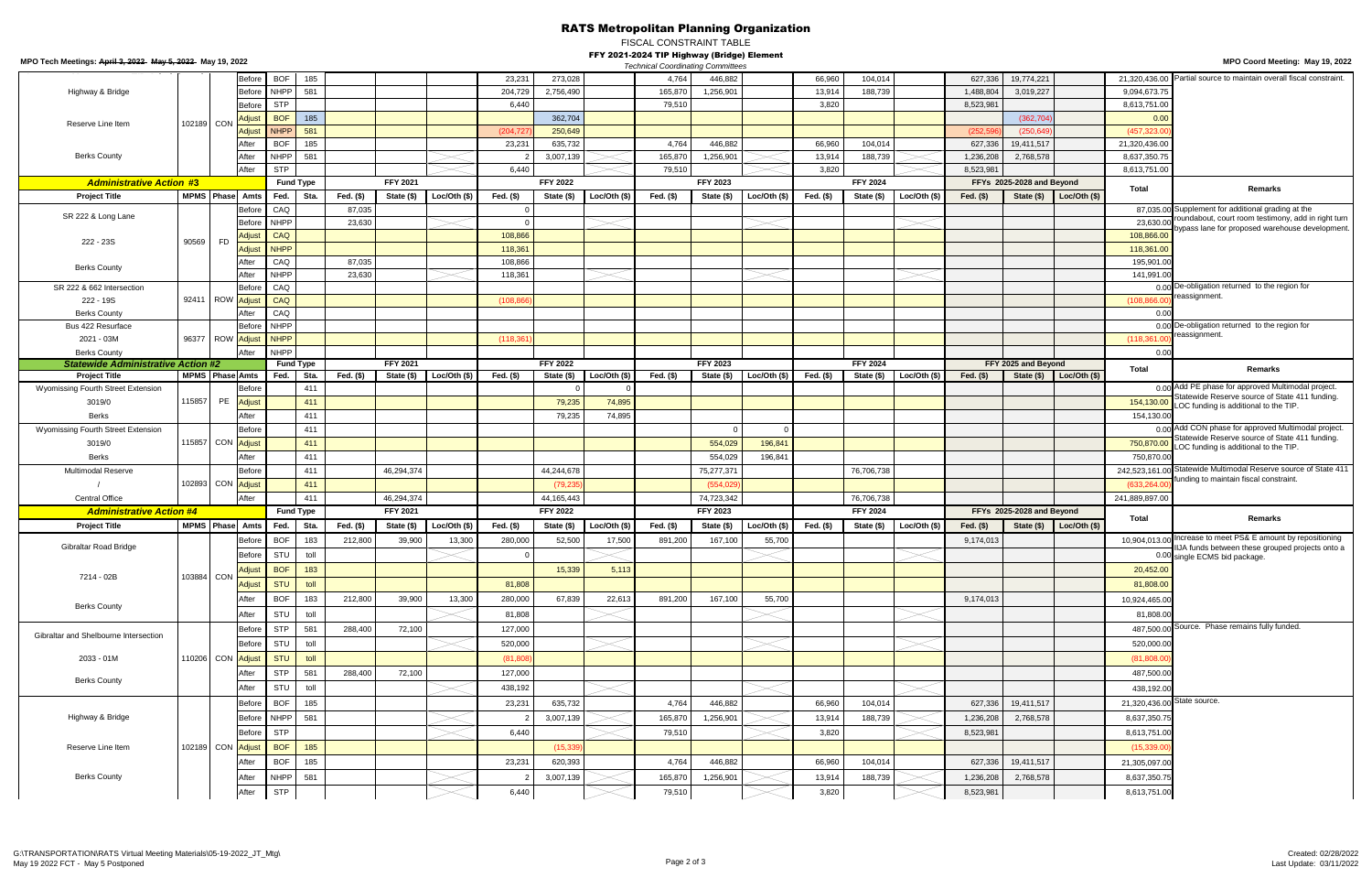RATS Metropolitan Planning Organization

FISCAL CONSTRAINT TABLE

### FFY 2021-2024 TIP Highway (Bridge) Element

| MPO Tech Meetings: April 3, 2022 May 5, 2022 May 19, 2022 |                        |                   |                         |                  |                         |                     |                        |              |                  |                                 |             | FFT 2021-2024 TIP Highway (Bridge) Element<br><b>Technical Coordinating Committees</b> |                               |              |           |                               |              |              |                           |                             |                | MPO Coord Meeting: May 19, 2022                       |
|-----------------------------------------------------------|------------------------|-------------------|-------------------------|------------------|-------------------------|---------------------|------------------------|--------------|------------------|---------------------------------|-------------|----------------------------------------------------------------------------------------|-------------------------------|--------------|-----------|-------------------------------|--------------|--------------|---------------------------|-----------------------------|----------------|-------------------------------------------------------|
|                                                           |                        |                   | Before                  | <b>BOF</b>       | 185                     |                     |                        |              | 23,231           | 273,028                         |             | 4,764                                                                                  | 446,882                       |              | 66,960    | 104,014                       |              | 627,336      | 19,774,221                |                             | 21,320,436.00  | Partial source to maintain overall fiscal constraint. |
| Highway & Bridge                                          |                        |                   | Before                  |                  | <b>NHPP</b><br>581      |                     |                        |              | 204,729          | 2,756,490                       |             | 165,870                                                                                | 1,256,901                     |              | 13,914    | 188,739                       |              | 1,488,804    | 3,019,227                 |                             | 9,094,673.75   |                                                       |
|                                                           |                        |                   | Before                  | <b>STP</b>       |                         |                     |                        |              | 6,440            |                                 |             | 79,510                                                                                 |                               |              | 3,820     |                               |              | 8,523,981    |                           |                             | 8,613,751.00   |                                                       |
| Reserve Line Item                                         |                        | 102189 CON        | Adjus                   | <b>BOF</b>       | 185                     |                     |                        |              |                  | 362,704                         |             |                                                                                        |                               |              |           |                               |              |              | (362, 704)                |                             | 0.00           |                                                       |
|                                                           |                        |                   | Adjus                   |                  | <b>NHPP</b><br>581      |                     |                        |              | (204, 72)        | 250,649                         |             |                                                                                        |                               |              |           |                               |              | (252, 5)     | (250, 649)                |                             | (457, 323.0)   |                                                       |
|                                                           |                        |                   | After                   |                  | <b>BOF</b><br>185       |                     |                        |              | 23,231           | 635,732                         |             | 4,764                                                                                  | 446,882                       |              | 66,960    | 104,014                       |              | 627,336      | 19,411,517                |                             | 21,320,436.00  |                                                       |
| <b>Berks County</b>                                       |                        |                   | After                   |                  | <b>NHPP</b><br>581      |                     |                        |              |                  | 3,007,139                       |             | 165,870                                                                                | 1,256,901                     |              | 13,914    | 188,739                       |              | 1,236,208    | 2,768,578                 |                             | 8,637,350.75   |                                                       |
|                                                           |                        |                   | After                   | <b>STP</b>       |                         |                     |                        |              | 6,440            |                                 |             | 79,510                                                                                 |                               |              | 3,820     |                               |              | 8,523,981    |                           |                             | 8,613,751.0    |                                                       |
| <b>Administrative Action #3</b>                           |                        |                   |                         | <b>Fund Type</b> |                         |                     | FFY 2021               |              |                  | <b>FFY 2022</b>                 |             |                                                                                        | <b>FFY 2023</b>               |              |           | <b>FFY 2024</b>               |              |              | FFYs 2025-2028 and Beyond |                             | Total          | Remarks                                               |
| <b>Project Title</b>                                      | MPMS Phase Amts        |                   |                         | CAQ              | Fed. Sta.               | Fed. (\$)<br>87,035 | State (\$)             | Loc/Oh (\$)  | Fed. (\$)<br>- 0 | State (\$)                      | Loc/Oh (\$) | Fed. (\$)                                                                              | State (\$)                    | Loc/Oth (\$) | Fed. (\$) | State (\$)                    | Loc/Oh (\$)  | Fed. (\$)    | State (\$)                | Loc/Oh (\$)                 |                | 87,035.00 Supplement for additional grading at the    |
| SR 222 & Long Lane                                        |                        |                   | Before<br>Before        | <b>NHPP</b>      |                         | 23,630              |                        |              |                  |                                 |             |                                                                                        |                               |              |           |                               |              |              |                           |                             | 23,630.00      | roundabout, court room testimony, add in right turn   |
|                                                           |                        |                   | Adjus                   | CAQ              |                         |                     |                        |              | 108,866          |                                 |             |                                                                                        |                               |              |           |                               |              |              |                           |                             | 108,866.00     | bypass lane for proposed warehouse development        |
| 222 - 23S                                                 | 90569                  | <b>FD</b>         | Adjus                   |                  | <b>NHPP</b>             |                     |                        |              | 118,361          |                                 |             |                                                                                        |                               |              |           |                               |              |              |                           |                             | 118,361.0      |                                                       |
|                                                           |                        |                   | After                   | CAQ              |                         | 87,035              |                        |              | 108,866          |                                 |             |                                                                                        |                               |              |           |                               |              |              |                           |                             | 195,901.0      |                                                       |
| <b>Berks County</b>                                       |                        |                   | After                   | <b>NHPP</b>      |                         | 23,630              |                        |              | 118,361          |                                 |             |                                                                                        |                               |              |           |                               |              |              |                           |                             | 141,991.0      |                                                       |
| SR 222 & 662 Intersection                                 |                        |                   | Before                  | CAQ              |                         |                     |                        |              |                  |                                 |             |                                                                                        |                               |              |           |                               |              |              |                           |                             |                | 0.00 De-obligation returned to the region for         |
| 222 - 19S                                                 |                        | 92411 ROW         | <b>Adjus</b>            | CAQ              |                         |                     |                        |              | (108, 866)       |                                 |             |                                                                                        |                               |              |           |                               |              |              |                           |                             | (108, 866.00)  | eassignment.                                          |
| <b>Berks County</b>                                       |                        |                   | After                   | CAQ              |                         |                     |                        |              |                  |                                 |             |                                                                                        |                               |              |           |                               |              |              |                           |                             | 0.00           |                                                       |
| Bus 422 Resurface                                         |                        |                   | Befor                   | <b>NHPP</b>      |                         |                     |                        |              |                  |                                 |             |                                                                                        |                               |              |           |                               |              |              |                           |                             |                | 0.00 De-obligation returned to the region for         |
| 2021 - 03M                                                |                        | 96377 ROW         | <b>Adjus</b>            | <b>NHPP</b>      |                         |                     |                        |              | (118, 361)       |                                 |             |                                                                                        |                               |              |           |                               |              |              |                           |                             | (118, 361.0)   | eassignment.                                          |
| <b>Berks County</b>                                       |                        |                   | After                   | <b>NHPP</b>      |                         |                     |                        |              |                  |                                 |             |                                                                                        |                               |              |           |                               |              |              |                           |                             | 0.00           |                                                       |
| <b>Statewide Administrative Action #2</b>                 |                        |                   |                         |                  | <b>Fund Type</b>        |                     | <b>FFY 2021</b>        |              |                  | <b>FFY 2022</b>                 |             |                                                                                        | <b>FFY 2023</b>               |              |           | <b>FFY 2024</b>               |              |              | FFY 2025 and Beyond       |                             | <b>Total</b>   | Remarks                                               |
| <b>Project Title</b>                                      | <b>MPMS</b> Phase Amts |                   |                         |                  | Fed.<br>Sta.            | Fed. (\$)           | State (\$)             | Loc/Oth (\$) | Fed. (\$)        | State (\$)                      | Loc/Oh (\$) | Fed. (\$)                                                                              | State (\$)                    | Loc/Oh (\$)  | Fed. (\$) | State (\$)                    | Loc/Oth (\$) | Fed. $($ \$) |                           | State $(\$)$ Loc/Oth $(\$)$ |                | 0.00 Add PE phase for approved Multimodal project.    |
| Wyomissing Fourth Street Extension                        |                        | <b>PE</b>         | Before                  |                  | 411                     |                     |                        |              |                  |                                 |             |                                                                                        |                               |              |           |                               |              |              |                           |                             |                | Statewide Reserve source of State 411 funding.        |
| 3019/0                                                    | 115857                 |                   | Adjust                  |                  | 411                     |                     |                        |              |                  | 79,235                          | 74,895      |                                                                                        |                               |              |           |                               |              |              |                           |                             | 154,130.00     | LOC funding is additional to the TIP.                 |
| Berks                                                     |                        |                   | After                   |                  | 411                     |                     |                        |              |                  | 79,235                          | 74,895      |                                                                                        | $\cap$                        |              |           |                               |              |              |                           |                             | 154,130.0      | 0.00 Add CON phase for approved Multimodal project.   |
| Wyomissing Fourth Street Extension                        |                        |                   | Before                  |                  | 411                     |                     |                        |              |                  |                                 |             |                                                                                        |                               |              |           |                               |              |              |                           |                             |                | Statewide Reserve source of State 411 funding.        |
| 3019/0                                                    |                        | 115857 CON Adjust |                         |                  | 411                     |                     |                        |              |                  |                                 |             |                                                                                        | 554,029                       | 196,841      |           |                               |              |              |                           |                             | 750,870.00     | LOC funding is additional to the TIP.                 |
| Berks                                                     |                        |                   | After                   |                  | 411                     |                     |                        |              |                  |                                 |             |                                                                                        | 554,029                       | 196,84       |           |                               |              |              |                           |                             | 750,870.0      | Statewide Multimodal Reserve source of State 411      |
| <b>Multimodal Reserve</b>                                 |                        | 102893 CON Adjust | Before                  |                  | 411                     |                     | 46,294,374             |              |                  | 44,244,678                      |             |                                                                                        | 75,277,371                    |              |           | 76,706,738                    |              |              |                           |                             | 242,523,161.00 | unding to maintain fiscal constraint.                 |
|                                                           |                        |                   | After                   |                  | 411                     |                     |                        |              |                  | (79, 235)                       |             |                                                                                        | (554, 029)                    |              |           |                               |              |              |                           |                             | (633, 264.00)  |                                                       |
| <b>Central Office</b><br><b>Administrative Action #4</b>  |                        |                   |                         |                  | 411<br><b>Fund Type</b> |                     | 46,294,374<br>FFY 2021 |              |                  | 44, 165, 443<br><b>FFY 2022</b> |             |                                                                                        | 74,723,342<br><b>FFY 2023</b> |              |           | 76,706,738<br><b>FFY 2024</b> |              |              | FFYs 2025-2028 and Beyond |                             | 241,889,897.0  |                                                       |
| <b>Project Title</b>                                      |                        | <b>MPMS Phase</b> | Amts                    |                  | Fed.<br>Sta.            | Fed. (\$)           | State (\$)             | Loc/Oth (\$) | Fed. (\$)        | State (\$)                      | Loc/Oh (\$) | Fed. (\$)                                                                              | State (\$)                    | Loc/Oth (\$) | Fed. (\$) | State (\$)                    | Loc/Oth (\$) | Fed. (\$)    | State (\$)                | Loc/Oh (\$)                 | Total          | Remarks                                               |
|                                                           |                        |                   |                         | <b>BOF</b>       | 183                     | 212,800             | 39,900                 | 13,300       | 280,000          | 52,500                          | 17,500      | 891,200                                                                                | 167,100                       | 55,700       |           |                               |              | 9,174,013    |                           |                             | 10,904,013.00  | Increase to meet PS& E amount by repositioning        |
| Gibraltar Road Bridge                                     |                        |                   | Before<br><b>Before</b> | STU              |                         |                     |                        |              | $\Omega$         |                                 |             |                                                                                        |                               |              |           |                               |              |              |                           |                             |                | IIJA funds between these grouped projects onto a      |
|                                                           |                        |                   |                         |                  | toll                    |                     |                        |              |                  |                                 |             |                                                                                        |                               |              |           |                               |              |              |                           |                             |                | 0.00 single ECMS bid package.                         |
| 7214 - 02B                                                |                        | 103884 CON        | Adjust                  | <b>BOF</b>       | 183                     |                     |                        |              |                  | 15,339                          | 5,113       |                                                                                        |                               |              |           |                               |              |              |                           |                             | 20,452.00      |                                                       |
|                                                           |                        |                   | Adjust                  |                  | <b>STU</b><br>toll      |                     |                        |              | 81,808           |                                 |             |                                                                                        |                               |              |           |                               |              |              |                           |                             | 81,808.00      |                                                       |
| <b>Berks County</b>                                       |                        |                   | After                   |                  | <b>BOF</b><br>183       | 212,800             | 39,900                 | 13,300       | 280,000          | 67,839                          | 22,613      | 891,200                                                                                | 167,100                       | 55,700       |           |                               |              | 9,174,013    |                           |                             | 10,924,465.00  |                                                       |
|                                                           |                        |                   | After                   | STU              | toll                    |                     |                        |              | 81,808           |                                 |             |                                                                                        |                               |              |           |                               |              |              |                           |                             | 81,808.0       |                                                       |
| Gibraltar and Shelbourne Intersection                     |                        |                   | Before                  |                  | <b>STP</b><br>581       | 288,400             | 72,100                 |              | 127,000          |                                 |             |                                                                                        |                               |              |           |                               |              |              |                           |                             | 487,500.00     | Source. Phase remains fully funded.                   |
|                                                           |                        |                   | Before                  | STU              | toll                    |                     |                        |              | 520,000          |                                 |             |                                                                                        |                               |              |           |                               |              |              |                           |                             | 520,000.0      |                                                       |
| 2033 - 01M                                                |                        | 110206 CON Adjust |                         | <b>STU</b>       | toll                    |                     |                        |              | (81, 808)        |                                 |             |                                                                                        |                               |              |           |                               |              |              |                           |                             | (81,808.00)    |                                                       |
|                                                           |                        |                   | After                   |                  | <b>STP</b><br>581       | 288,400             | 72,100                 |              | 127,000          |                                 |             |                                                                                        |                               |              |           |                               |              |              |                           |                             | 487,500.00     |                                                       |
| <b>Berks County</b>                                       |                        |                   | After                   | STU              | toll                    |                     |                        |              | 438,192          |                                 |             |                                                                                        |                               |              |           |                               |              |              |                           |                             | 438,192.00     |                                                       |
|                                                           |                        |                   | Before                  |                  | <b>BOF</b><br>185       |                     |                        |              | 23,231           | 635,732                         |             | 4,764                                                                                  | 446,882                       |              | 66,960    | 104,014                       |              | 627,336      | 19,411,517                |                             | 21,320,436.00  | State source.                                         |
| Highway & Bridge                                          |                        |                   | Before                  |                  | <b>NHPP</b><br>581      |                     |                        |              |                  | 3,007,139                       |             | 165,870                                                                                | 1,256,901                     |              | 13,914    | 188,739                       |              | 1,236,208    | 2,768,578                 |                             | 8,637,350.7    |                                                       |
|                                                           |                        |                   | Before                  | <b>STP</b>       |                         |                     |                        |              | 6,440            |                                 |             | 79,510                                                                                 |                               |              | 3,820     |                               |              | 8,523,981    |                           |                             | 8,613,751.00   |                                                       |
|                                                           | 102189 CON Adjust      |                   |                         |                  |                         |                     |                        |              |                  |                                 |             |                                                                                        |                               |              |           |                               |              |              |                           |                             |                |                                                       |
| Reserve Line Item                                         |                        |                   |                         | <b>BOF</b>       | 185                     |                     |                        |              |                  | (15, 339)                       |             |                                                                                        |                               |              |           |                               |              |              |                           |                             | (15,339.00)    |                                                       |
|                                                           |                        |                   | After                   | <b>BOF</b>       | 185                     |                     |                        |              | 23,231           | 620,393                         |             | 4,764                                                                                  | 446,882                       |              | 66,960    | 104,014                       |              | 627,336      | 19,411,517                |                             | 21,305,097.0   |                                                       |
| <b>Berks County</b>                                       |                        |                   | After                   |                  | <b>NHPP</b><br>581      |                     |                        |              |                  | 3,007,139                       |             | 165,870                                                                                | 1,256,901                     |              | 13,914    | 188,739                       |              | 1,236,208    | 2,768,578                 |                             | 8,637,350.7    |                                                       |
|                                                           |                        |                   | After                   | <b>STP</b>       |                         |                     |                        |              | 6,440            |                                 |             | 79,510                                                                                 |                               |              | 3,820     |                               |              | 8,523,981    |                           |                             | 8,613,751.00   |                                                       |